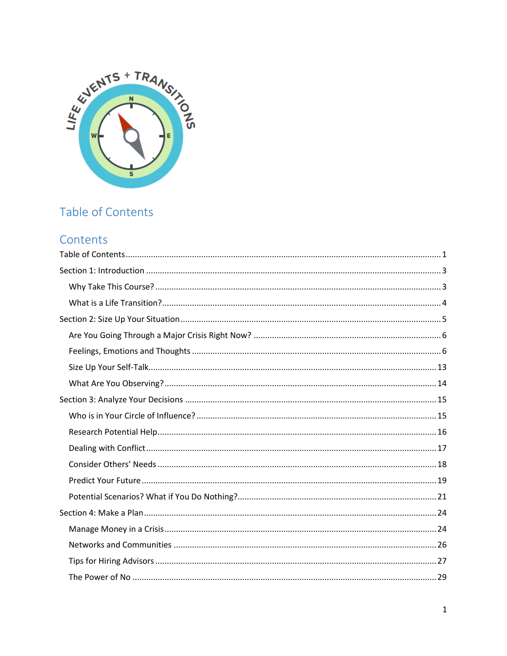<span id="page-0-0"></span>

# Table of Contents

# Contents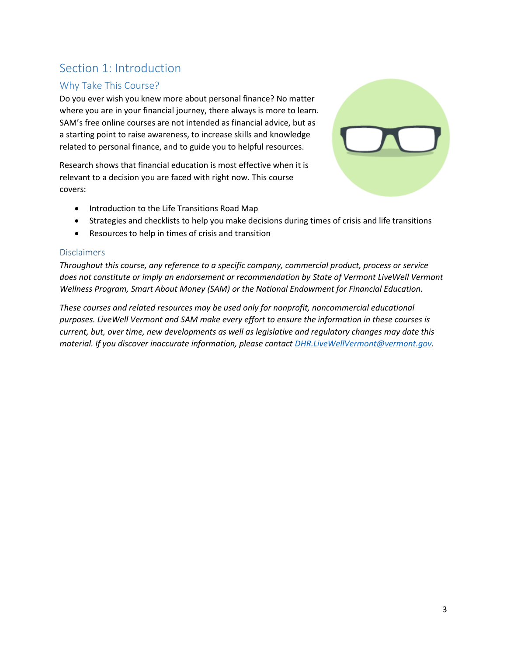# <span id="page-2-0"></span>Section 1: Introduction

## <span id="page-2-1"></span>Why Take This Course?

Do you ever wish you knew more about personal finance? No matter where you are in your financial journey, there always is more to learn. SAM's free online courses are not intended as financial advice, but as a starting point to raise awareness, to increase skills and knowledge related to personal finance, and to guide you to helpful resources.

Research shows that financial education is most effective when it is relevant to a decision you are faced with right now. This course covers:



- Introduction to the Life Transitions Road Map
- Strategies and checklists to help you make decisions during times of crisis and life transitions
- Resources to help in times of crisis and transition

### **Disclaimers**

*Throughout this course, any reference to a specific company, commercial product, process or service does not constitute or imply an endorsement or recommendation by State of Vermont LiveWell Vermont Wellness Program, Smart About Money (SAM) or the National Endowment for Financial Education.*

*These courses and related resources may be used only for nonprofit, noncommercial educational purposes. LiveWell Vermont and SAM make every effort to ensure the information in these courses is current, but, over time, new developments as well as legislative and regulatory changes may date this material. If you discover inaccurate information, please contact [DHR.LiveWellVermont@vermont.gov.](mailto:DHR.LiveWellVermont@vermont.gov)*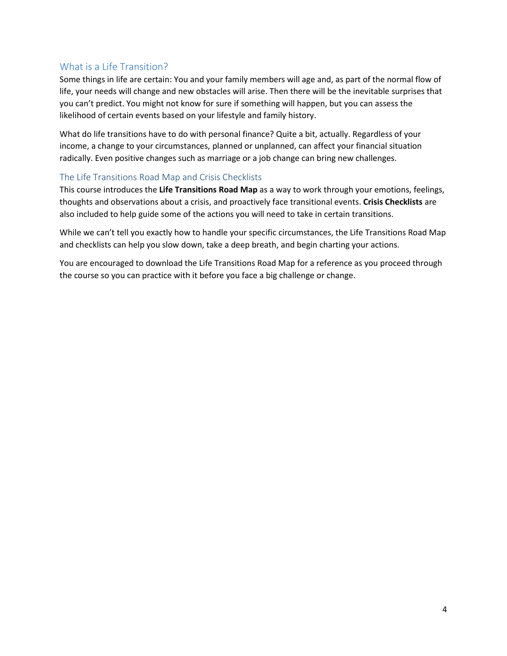## <span id="page-3-0"></span>What is a Life Transition?

Some things in life are certain: You and your family members will age and, as part of the normal flow of life, your needs will change and new obstacles will arise. Then there will be the inevitable surprises that you can't predict. You might not know for sure if something will happen, but you can assess the likelihood of certain events based on your lifestyle and family history.

What do life transitions have to do with personal finance? Quite a bit, actually. Regardless of your income, a change to your circumstances, planned or unplanned, can affect your financial situation radically. Even positive changes such as marriage or a job change can bring new challenges.

### The Life Transitions Road Map and Crisis Checklists

This course introduces the **Life Transitions Road Map** as a way to work through your emotions, feelings, thoughts and observations about a crisis, and proactively face transitional events. **Crisis Checklists** are also included to help guide some of the actions you will need to take in certain transitions.

While we can't tell you exactly how to handle your specific circumstances, the Life Transitions Road Map and checklists can help you slow down, take a deep breath, and begin charting your actions.

You are encouraged to download the Life Transitions Road Map for a reference as you proceed through the course so you can practice with it before you face a big challenge or change.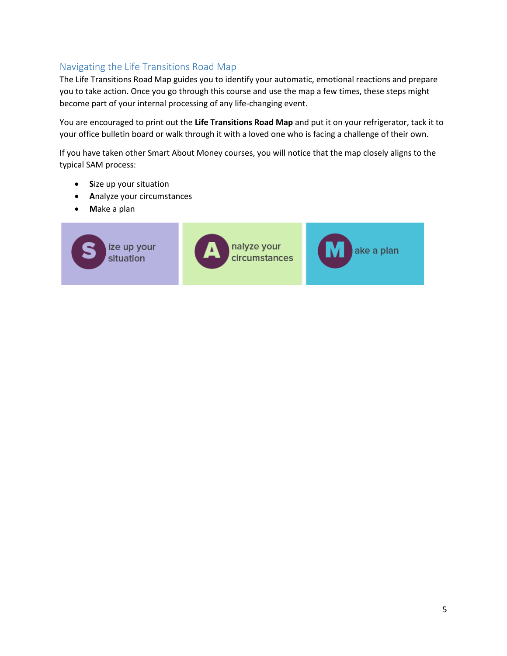## Navigating the Life Transitions Road Map

The Life Transitions Road Map guides you to identify your automatic, emotional reactions and prepare you to take action. Once you go through this course and use the map a few times, these steps might become part of your internal processing of any life-changing event.

You are encouraged to print out the **Life Transitions Road Map** and put it on your refrigerator, tack it to your office bulletin board or walk through it with a loved one who is facing a challenge of their own.

If you have taken other Smart About Money courses, you will notice that the map closely aligns to the typical SAM process:

- **S**ize up your situation
- **A**nalyze your circumstances
- **M**ake a plan

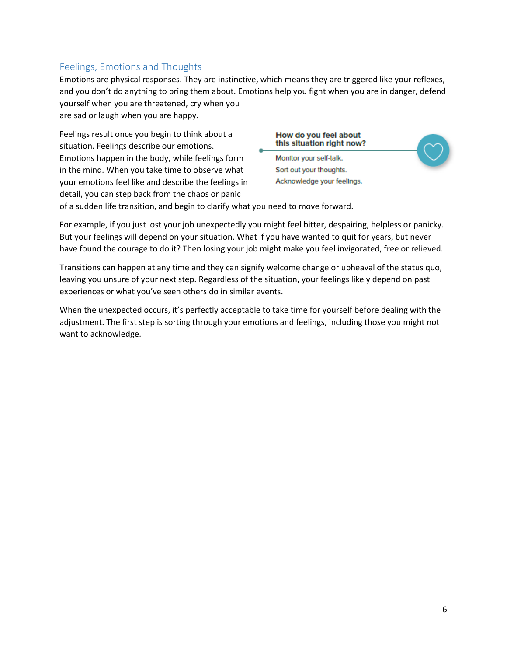## <span id="page-5-0"></span>Feelings, Emotions and Thoughts

Emotions are physical responses. They are instinctive, which means they are triggered like your reflexes, and you don't do anything to bring them about. Emotions help you fight when you are in danger, defend yourself when you are threatened, cry when you are sad or laugh when you are happy.

Feelings result once you begin to think about a situation. Feelings describe our emotions. Emotions happen in the body, while feelings form in the mind. When you take time to observe what your emotions feel like and describe the feelings in detail, you can step back from the chaos or panic

## How do you feel about this situation right now? Monitor your self-talk.

Sort out your thoughts. Acknowledge your feelings.

of a sudden life transition, and begin to clarify what you need to move forward.

For example, if you just lost your job unexpectedly you might feel bitter, despairing, helpless or panicky. But your feelings will depend on your situation. What if you have wanted to quit for years, but never have found the courage to do it? Then losing your job might make you feel invigorated, free or relieved.

Transitions can happen at any time and they can signify welcome change or upheaval of the status quo, leaving you unsure of your next step. Regardless of the situation, your feelings likely depend on past experiences or what you've seen others do in similar events.

When the unexpected occurs, it's perfectly acceptable to take time for yourself before dealing with the adjustment. The first step is sorting through your emotions and feelings, including those you might not want to acknowledge.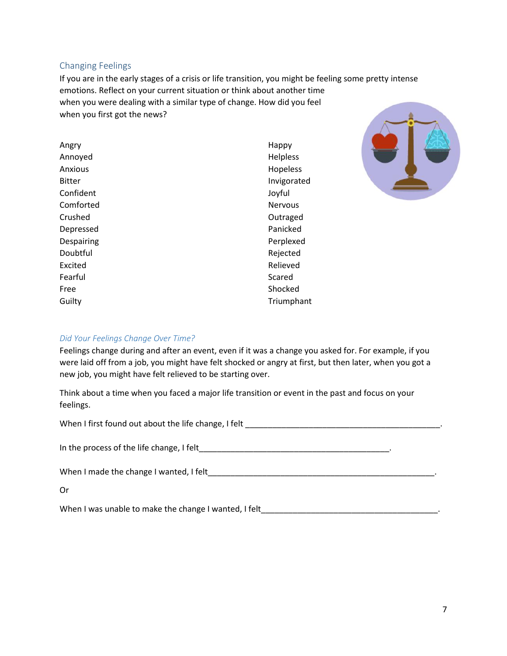### Changing Feelings

If you are in the early stages of a crisis or life transition, you might be feeling some pretty intense emotions. Reflect on your current situation or think about another time when you were dealing with a similar type of change. How did you feel when you first got the news?

Angry Annoyed Anxious Bitter Confident Comforted Crushed Depressed Despairing Doubtful Excited Fearful Free Guilty

Happy Helpless Hopeless Invigorated Joyful Nervous Outraged Panicked Perplexed Rejected Relieved Scared Shocked Triumphant



### *Did Your Feelings Change Over Time?*

Feelings change during and after an event, even if it was a change you asked for. For example, if you were laid off from a job, you might have felt shocked or angry at first, but then later, when you got a new job, you might have felt relieved to be starting over.

Think about a time when you faced a major life transition or event in the past and focus on your feelings.

| When I made the change I wanted, I felt North and the state of the state of the UN and the UN and the UN and the UN and the UN and the UN and the UN and the UN and the UN and the UN and the UN and the UN and the UN and the |  |
|--------------------------------------------------------------------------------------------------------------------------------------------------------------------------------------------------------------------------------|--|
| Or                                                                                                                                                                                                                             |  |
| When I was unable to make the change I wanted, I felt                                                                                                                                                                          |  |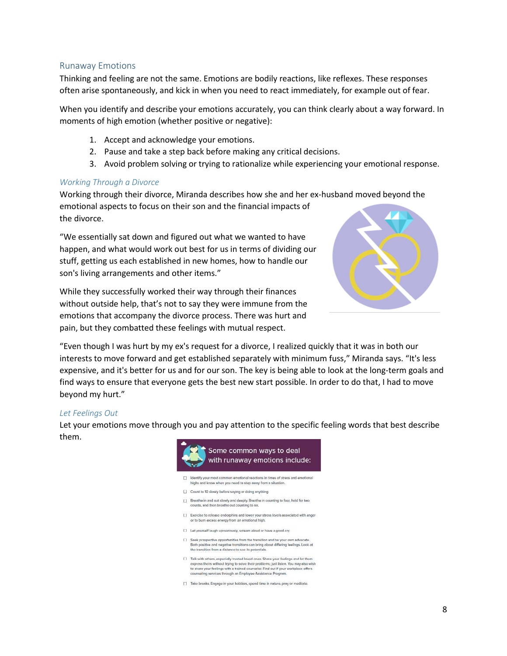### Runaway Emotions

Thinking and feeling are not the same. Emotions are bodily reactions, like reflexes. These responses often arise spontaneously, and kick in when you need to react immediately, for example out of fear.

When you identify and describe your emotions accurately, you can think clearly about a way forward. In moments of high emotion (whether positive or negative):

- 1. Accept and acknowledge your emotions.
- 2. Pause and take a step back before making any critical decisions.
- 3. Avoid problem solving or trying to rationalize while experiencing your emotional response.

### *Working Through a Divorce*

Working through their divorce, Miranda describes how she and her ex-husband moved beyond the emotional aspects to focus on their son and the financial impacts of the divorce.

"We essentially sat down and figured out what we wanted to have happen, and what would work out best for us in terms of dividing our stuff, getting us each established in new homes, how to handle our son's living arrangements and other items."

While they successfully worked their way through their finances without outside help, that's not to say they were immune from the emotions that accompany the divorce process. There was hurt and pain, but they combatted these feelings with mutual respect.



"Even though I was hurt by my ex's request for a divorce, I realized quickly that it was in both our interests to move forward and get established separately with minimum fuss," Miranda says. "It's less expensive, and it's better for us and for our son. The key is being able to look at the long-term goals and find ways to ensure that everyone gets the best new start possible. In order to do that, I had to move beyond my hurt."

### *Let Feelings Out*

Let your emotions move through you and pay attention to the specific feeling words that best describe them.



8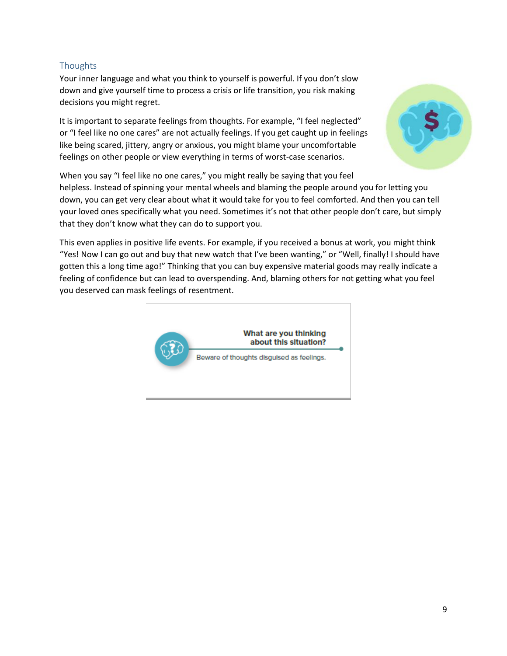## **Thoughts**

Your inner language and what you think to yourself is powerful. If you don't slow down and give yourself time to process a crisis or life transition, you risk making decisions you might regret.

It is important to separate feelings from thoughts. For example, "I feel neglected" or "I feel like no one cares" are not actually feelings. If you get caught up in feelings like being scared, jittery, angry or anxious, you might blame your uncomfortable feelings on other people or view everything in terms of worst-case scenarios.



This even applies in positive life events. For example, if you received a bonus at work, you might think "Yes! Now I can go out and buy that new watch that I've been wanting," or "Well, finally! I should have gotten this a long time ago!" Thinking that you can buy expensive material goods may really indicate a feeling of confidence but can lead to overspending. And, blaming others for not getting what you feel you deserved can mask feelings of resentment.



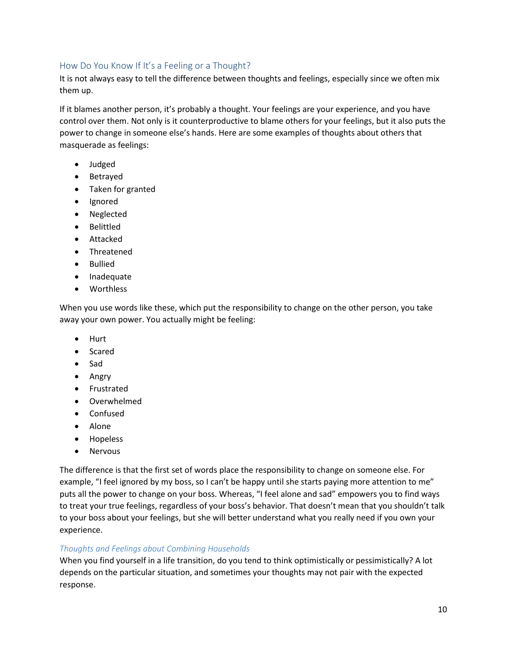### How Do You Know If It's a Feeling or a Thought?

It is not always easy to tell the difference between thoughts and feelings, especially since we often mix them up.

If it blames another person, it's probably a thought. Your feelings are your experience, and you have control over them. Not only is it counterproductive to blame others for your feelings, but it also puts the power to change in someone else's hands. Here are some examples of thoughts about others that masquerade as feelings:

- Judged
- Betrayed
- Taken for granted
- Ignored
- Neglected
- Belittled
- Attacked
- Threatened
- Bullied
- Inadequate
- Worthless

When you use words like these, which put the responsibility to change on the other person, you take away your own power. You actually might be feeling:

- Hurt
- Scared
- Sad
- Angry
- Frustrated
- Overwhelmed
- Confused
- Alone
- Hopeless
- Nervous

The difference is that the first set of words place the responsibility to change on someone else. For example, "I feel ignored by my boss, so I can't be happy until she starts paying more attention to me" puts all the power to change on your boss. Whereas, "I feel alone and sad" empowers you to find ways to treat your true feelings, regardless of your boss's behavior. That doesn't mean that you shouldn't talk to your boss about your feelings, but she will better understand what you really need if you own your experience.

### *Thoughts and Feelings about Combining Households*

When you find yourself in a life transition, do you tend to think optimistically or pessimistically? A lot depends on the particular situation, and sometimes your thoughts may not pair with the expected response.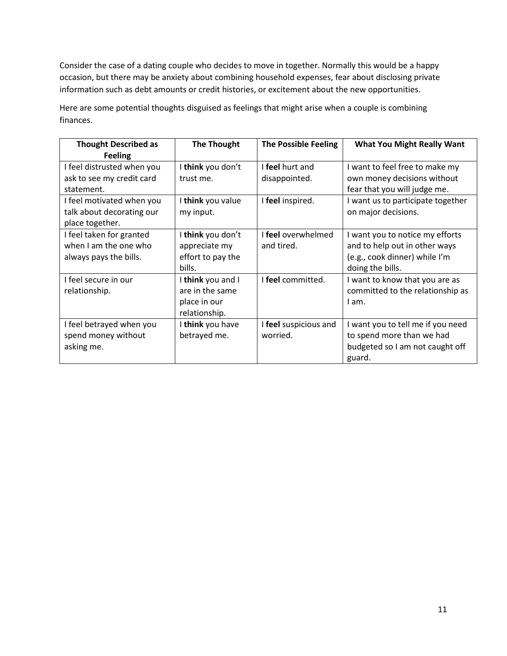Consider the case of a dating couple who decides to move in together. Normally this would be a happy occasion, but there may be anxiety about combining household expenses, fear about disclosing private information such as debt amounts or credit histories, or excitement about the new opportunities.

**Thought Described as Feeling The Thought The Possible Feeling What You Might Really Want** I feel distrusted when you ask to see my credit card statement. I **think** you don't trust me. I **feel** hurt and disappointed. I want to feel free to make my own money decisions without fear that you will judge me. I feel motivated when you talk about decorating our place together. I **think** you value my input. I **feel** inspired. **I** I want us to participate together on major decisions.

Here are some potential thoughts disguised as feelings that might arise when a couple is combining finances.

| I feel motivated when you<br>talk about decorating our<br>place together.   | l <b>think</b> vou value<br>my input.                                 | I feel inspired.                  | I want us to participate together<br>on major decisions.                                                              |
|-----------------------------------------------------------------------------|-----------------------------------------------------------------------|-----------------------------------|-----------------------------------------------------------------------------------------------------------------------|
| I feel taken for granted<br>when I am the one who<br>always pays the bills. | I think you don't<br>appreciate my<br>effort to pay the<br>bills.     | I feel overwhelmed<br>and tired.  | I want you to notice my efforts<br>and to help out in other ways<br>(e.g., cook dinner) while I'm<br>doing the bills. |
| I feel secure in our<br>relationship.                                       | I think you and I<br>are in the same<br>place in our<br>relationship. | I feel committed.                 | I want to know that you are as<br>committed to the relationship as<br>I am.                                           |
| I feel betrayed when you<br>spend money without<br>asking me.               | I think you have<br>betrayed me.                                      | I feel suspicious and<br>worried. | I want you to tell me if you need<br>to spend more than we had<br>budgeted so I am not caught off<br>guard.           |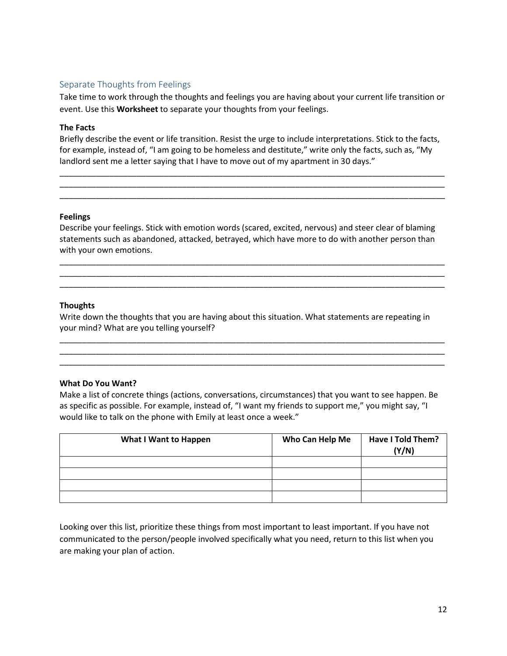### Separate Thoughts from Feelings

Take time to work through the thoughts and feelings you are having about your current life transition or event. Use this **Worksheet** to separate your thoughts from your feelings.

### **The Facts**

Briefly describe the event or life transition. Resist the urge to include interpretations. Stick to the facts, for example, instead of, "I am going to be homeless and destitute," write only the facts, such as, "My landlord sent me a letter saying that I have to move out of my apartment in 30 days."

\_\_\_\_\_\_\_\_\_\_\_\_\_\_\_\_\_\_\_\_\_\_\_\_\_\_\_\_\_\_\_\_\_\_\_\_\_\_\_\_\_\_\_\_\_\_\_\_\_\_\_\_\_\_\_\_\_\_\_\_\_\_\_\_\_\_\_\_\_\_\_\_\_\_\_\_\_\_\_\_\_\_\_\_\_ \_\_\_\_\_\_\_\_\_\_\_\_\_\_\_\_\_\_\_\_\_\_\_\_\_\_\_\_\_\_\_\_\_\_\_\_\_\_\_\_\_\_\_\_\_\_\_\_\_\_\_\_\_\_\_\_\_\_\_\_\_\_\_\_\_\_\_\_\_\_\_\_\_\_\_\_\_\_\_\_\_\_\_\_\_ \_\_\_\_\_\_\_\_\_\_\_\_\_\_\_\_\_\_\_\_\_\_\_\_\_\_\_\_\_\_\_\_\_\_\_\_\_\_\_\_\_\_\_\_\_\_\_\_\_\_\_\_\_\_\_\_\_\_\_\_\_\_\_\_\_\_\_\_\_\_\_\_\_\_\_\_\_\_\_\_\_\_\_\_\_

### **Feelings**

Describe your feelings. Stick with emotion words (scared, excited, nervous) and steer clear of blaming statements such as abandoned, attacked, betrayed, which have more to do with another person than with your own emotions.

\_\_\_\_\_\_\_\_\_\_\_\_\_\_\_\_\_\_\_\_\_\_\_\_\_\_\_\_\_\_\_\_\_\_\_\_\_\_\_\_\_\_\_\_\_\_\_\_\_\_\_\_\_\_\_\_\_\_\_\_\_\_\_\_\_\_\_\_\_\_\_\_\_\_\_\_\_\_\_\_\_\_\_\_\_ \_\_\_\_\_\_\_\_\_\_\_\_\_\_\_\_\_\_\_\_\_\_\_\_\_\_\_\_\_\_\_\_\_\_\_\_\_\_\_\_\_\_\_\_\_\_\_\_\_\_\_\_\_\_\_\_\_\_\_\_\_\_\_\_\_\_\_\_\_\_\_\_\_\_\_\_\_\_\_\_\_\_\_\_\_ \_\_\_\_\_\_\_\_\_\_\_\_\_\_\_\_\_\_\_\_\_\_\_\_\_\_\_\_\_\_\_\_\_\_\_\_\_\_\_\_\_\_\_\_\_\_\_\_\_\_\_\_\_\_\_\_\_\_\_\_\_\_\_\_\_\_\_\_\_\_\_\_\_\_\_\_\_\_\_\_\_\_\_\_\_

### **Thoughts**

Write down the thoughts that you are having about this situation. What statements are repeating in your mind? What are you telling yourself?

\_\_\_\_\_\_\_\_\_\_\_\_\_\_\_\_\_\_\_\_\_\_\_\_\_\_\_\_\_\_\_\_\_\_\_\_\_\_\_\_\_\_\_\_\_\_\_\_\_\_\_\_\_\_\_\_\_\_\_\_\_\_\_\_\_\_\_\_\_\_\_\_\_\_\_\_\_\_\_\_\_\_\_\_\_ \_\_\_\_\_\_\_\_\_\_\_\_\_\_\_\_\_\_\_\_\_\_\_\_\_\_\_\_\_\_\_\_\_\_\_\_\_\_\_\_\_\_\_\_\_\_\_\_\_\_\_\_\_\_\_\_\_\_\_\_\_\_\_\_\_\_\_\_\_\_\_\_\_\_\_\_\_\_\_\_\_\_\_\_\_ \_\_\_\_\_\_\_\_\_\_\_\_\_\_\_\_\_\_\_\_\_\_\_\_\_\_\_\_\_\_\_\_\_\_\_\_\_\_\_\_\_\_\_\_\_\_\_\_\_\_\_\_\_\_\_\_\_\_\_\_\_\_\_\_\_\_\_\_\_\_\_\_\_\_\_\_\_\_\_\_\_\_\_\_\_

### **What Do You Want?**

Make a list of concrete things (actions, conversations, circumstances) that you want to see happen. Be as specific as possible. For example, instead of, "I want my friends to support me," you might say, "I would like to talk on the phone with Emily at least once a week."

| <b>What I Want to Happen</b> | Who Can Help Me | Have I Told Them?<br>(Y/N) |
|------------------------------|-----------------|----------------------------|
|                              |                 |                            |
|                              |                 |                            |
|                              |                 |                            |
|                              |                 |                            |

Looking over this list, prioritize these things from most important to least important. If you have not communicated to the person/people involved specifically what you need, return to this list when you are making your plan of action.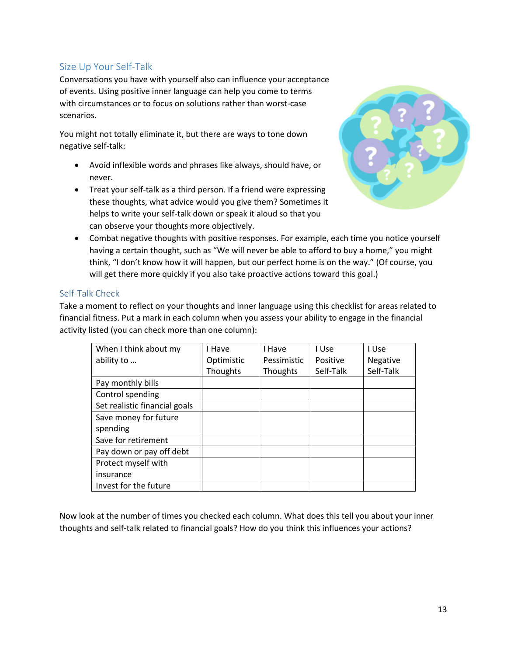## <span id="page-12-0"></span>Size Up Your Self-Talk

Conversations you have with yourself also can influence your acceptance of events. Using positive inner language can help you come to terms with circumstances or to focus on solutions rather than worst-case scenarios.

You might not totally eliminate it, but there are ways to tone down negative self-talk:

- Avoid inflexible words and phrases like always, should have, or never.
- Treat your self-talk as a third person. If a friend were expressing these thoughts, what advice would you give them? Sometimes it helps to write your self-talk down or speak it aloud so that you can observe your thoughts more objectively.



• Combat negative thoughts with positive responses. For example, each time you notice yourself having a certain thought, such as "We will never be able to afford to buy a home," you might think, "I don't know how it will happen, but our perfect home is on the way." (Of course, you will get there more quickly if you also take proactive actions toward this goal.)

### Self-Talk Check

Take a moment to reflect on your thoughts and inner language using this checklist for areas related to financial fitness. Put a mark in each column when you assess your ability to engage in the financial activity listed (you can check more than one column):

| When I think about my         | I Have     | I Have          | I Use     | I Use     |
|-------------------------------|------------|-----------------|-----------|-----------|
| ability to                    | Optimistic | Pessimistic     | Positive  | Negative  |
|                               | Thoughts   | <b>Thoughts</b> | Self-Talk | Self-Talk |
| Pay monthly bills             |            |                 |           |           |
| Control spending              |            |                 |           |           |
| Set realistic financial goals |            |                 |           |           |
| Save money for future         |            |                 |           |           |
| spending                      |            |                 |           |           |
| Save for retirement           |            |                 |           |           |
| Pay down or pay off debt      |            |                 |           |           |
| Protect myself with           |            |                 |           |           |
| insurance                     |            |                 |           |           |
| Invest for the future         |            |                 |           |           |

Now look at the number of times you checked each column. What does this tell you about your inner thoughts and self-talk related to financial goals? How do you think this influences your actions?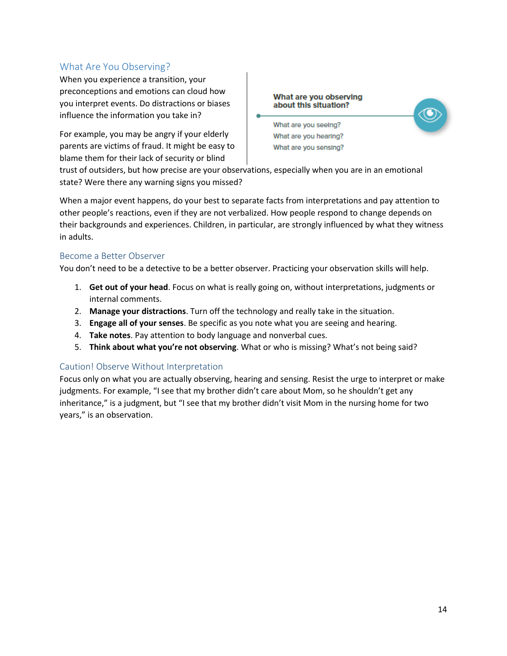## <span id="page-13-0"></span>What Are You Observing?

When you experience a transition, your preconceptions and emotions can cloud how you interpret events. Do distractions or biases influence the information you take in?

For example, you may be angry if your elderly parents are victims of fraud. It might be easy to blame them for their lack of security or blind

What are you observing about this situation?



What are you seeing? What are you hearing? What are you sensing?

trust of outsiders, but how precise are your observations, especially when you are in an emotional state? Were there any warning signs you missed?

When a major event happens, do your best to separate facts from interpretations and pay attention to other people's reactions, even if they are not verbalized. How people respond to change depends on their backgrounds and experiences. Children, in particular, are strongly influenced by what they witness in adults.

### Become a Better Observer

You don't need to be a detective to be a better observer. Practicing your observation skills will help.

- 1. **Get out of your head**. Focus on what is really going on, without interpretations, judgments or internal comments.
- 2. **Manage your distractions**. Turn off the technology and really take in the situation.
- 3. **Engage all of your senses**. Be specific as you note what you are seeing and hearing.
- 4. **Take notes**. Pay attention to body language and nonverbal cues.
- 5. **Think about what you're not observing**. What or who is missing? What's not being said?

### Caution! Observe Without Interpretation

Focus only on what you are actually observing, hearing and sensing. Resist the urge to interpret or make judgments. For example, "I see that my brother didn't care about Mom, so he shouldn't get any inheritance," is a judgment, but "I see that my brother didn't visit Mom in the nursing home for two years," is an observation.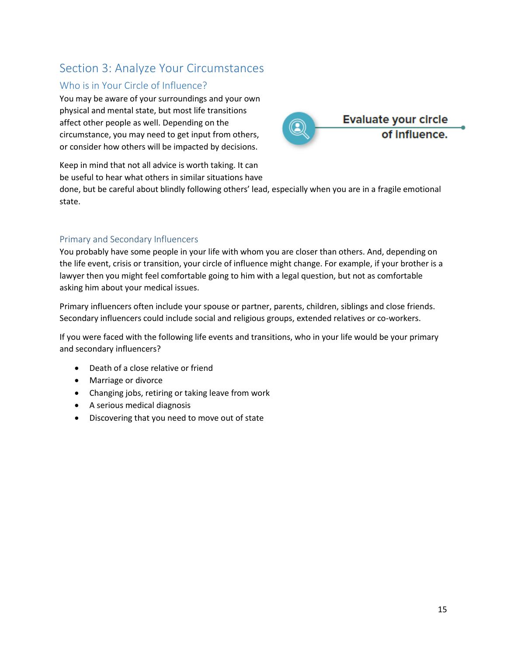## <span id="page-14-0"></span>Section 3: Analyze Your Circumstances

## <span id="page-14-1"></span>Who is in Your Circle of Influence?

You may be aware of your surroundings and your own physical and mental state, but most life transitions affect other people as well. Depending on the circumstance, you may need to get input from others, or consider how others will be impacted by decisions.



Keep in mind that not all advice is worth taking. It can be useful to hear what others in similar situations have

done, but be careful about blindly following others' lead, especially when you are in a fragile emotional state.

### Primary and Secondary Influencers

You probably have some people in your life with whom you are closer than others. And, depending on the life event, crisis or transition, your circle of influence might change. For example, if your brother is a lawyer then you might feel comfortable going to him with a legal question, but not as comfortable asking him about your medical issues.

Primary influencers often include your spouse or partner, parents, children, siblings and close friends. Secondary influencers could include social and religious groups, extended relatives or co-workers.

If you were faced with the following life events and transitions, who in your life would be your primary and secondary influencers?

- Death of a close relative or friend
- Marriage or divorce
- Changing jobs, retiring or taking leave from work
- A serious medical diagnosis
- Discovering that you need to move out of state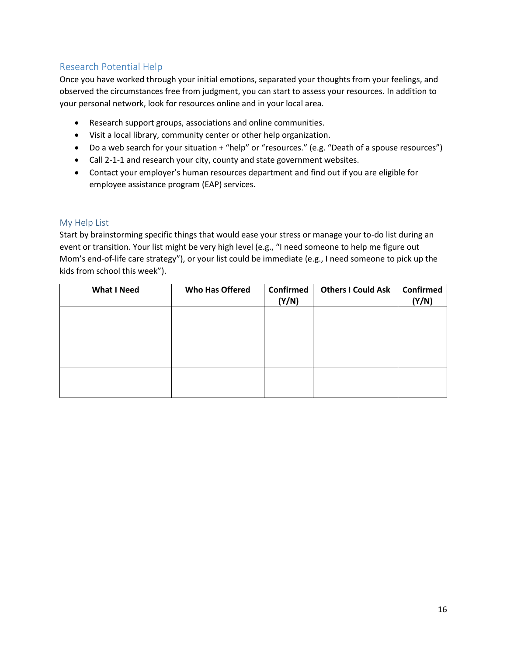## <span id="page-15-0"></span>Research Potential Help

Once you have worked through your initial emotions, separated your thoughts from your feelings, and observed the circumstances free from judgment, you can start to assess your resources. In addition to your personal network, look for resources online and in your local area.

- Research support groups, associations and online communities.
- Visit a local library, community center or other help organization.
- Do a web search for your situation + "help" or "resources." (e.g. "Death of a spouse resources")
- Call 2-1-1 and research your city, county and state government websites.
- Contact your employer's human resources department and find out if you are eligible for employee assistance program (EAP) services.

### My Help List

Start by brainstorming specific things that would ease your stress or manage your to-do list during an event or transition. Your list might be very high level (e.g., "I need someone to help me figure out Mom's end-of-life care strategy"), or your list could be immediate (e.g., I need someone to pick up the kids from school this week").

| <b>What I Need</b> | <b>Who Has Offered</b> | Confirmed<br>(Y/N) | <b>Others I Could Ask</b> | Confirmed<br>(Y/N) |
|--------------------|------------------------|--------------------|---------------------------|--------------------|
|                    |                        |                    |                           |                    |
|                    |                        |                    |                           |                    |
|                    |                        |                    |                           |                    |
|                    |                        |                    |                           |                    |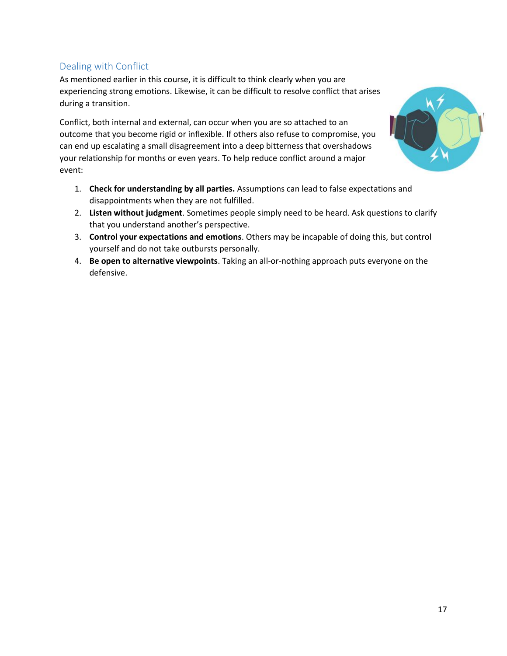## <span id="page-16-0"></span>Dealing with Conflict

As mentioned earlier in this course, it is difficult to think clearly when you are experiencing strong emotions. Likewise, it can be difficult to resolve conflict that arises during a transition.

Conflict, both internal and external, can occur when you are so attached to an outcome that you become rigid or inflexible. If others also refuse to compromise, you can end up escalating a small disagreement into a deep bitterness that overshadows your relationship for months or even years. To help reduce conflict around a major event:



- 1. **Check for understanding by all parties.** Assumptions can lead to false expectations and disappointments when they are not fulfilled.
- 2. **Listen without judgment**. Sometimes people simply need to be heard. Ask questions to clarify that you understand another's perspective.
- 3. **Control your expectations and emotions**. Others may be incapable of doing this, but control yourself and do not take outbursts personally.
- 4. **Be open to alternative viewpoints**. Taking an all-or-nothing approach puts everyone on the defensive.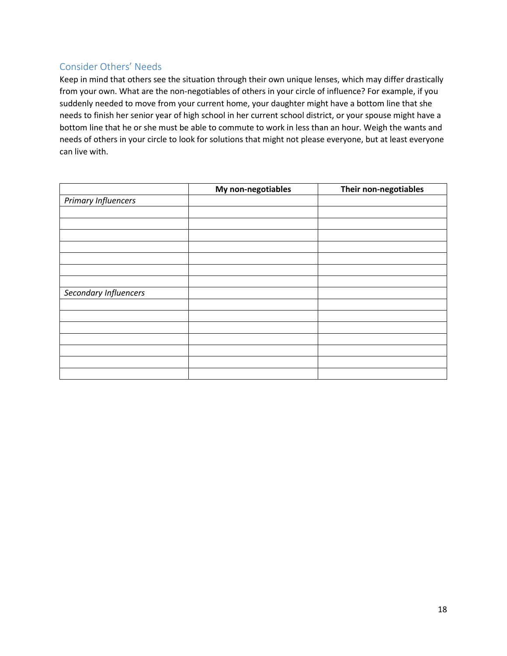## <span id="page-17-0"></span>Consider Others' Needs

Keep in mind that others see the situation through their own unique lenses, which may differ drastically from your own. What are the non-negotiables of others in your circle of influence? For example, if you suddenly needed to move from your current home, your daughter might have a bottom line that she needs to finish her senior year of high school in her current school district, or your spouse might have a bottom line that he or she must be able to commute to work in less than an hour. Weigh the wants and needs of others in your circle to look for solutions that might not please everyone, but at least everyone can live with.

|                            | My non-negotiables | Their non-negotiables |
|----------------------------|--------------------|-----------------------|
| <b>Primary Influencers</b> |                    |                       |
|                            |                    |                       |
|                            |                    |                       |
|                            |                    |                       |
|                            |                    |                       |
|                            |                    |                       |
|                            |                    |                       |
|                            |                    |                       |
| Secondary Influencers      |                    |                       |
|                            |                    |                       |
|                            |                    |                       |
|                            |                    |                       |
|                            |                    |                       |
|                            |                    |                       |
|                            |                    |                       |
|                            |                    |                       |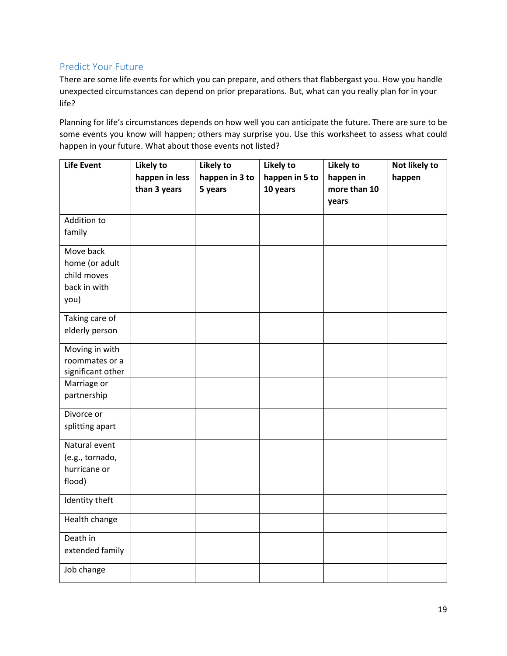## <span id="page-18-0"></span>Predict Your Future

There are some life events for which you can prepare, and others that flabbergast you. How you handle unexpected circumstances can depend on prior preparations. But, what can you really plan for in your life?

Planning for life's circumstances depends on how well you can anticipate the future. There are sure to be some events you know will happen; others may surprise you. Use this worksheet to assess what could happen in your future. What about those events not listed?

| <b>Life Event</b>                   | Likely to<br>happen in less | Likely to<br>happen in 3 to | Likely to<br>happen in 5 to | Likely to<br>happen in | Not likely to<br>happen |
|-------------------------------------|-----------------------------|-----------------------------|-----------------------------|------------------------|-------------------------|
|                                     | than 3 years                | 5 years                     | 10 years                    | more than 10           |                         |
|                                     |                             |                             |                             | years                  |                         |
| Addition to                         |                             |                             |                             |                        |                         |
| family                              |                             |                             |                             |                        |                         |
| Move back<br>home (or adult         |                             |                             |                             |                        |                         |
| child moves                         |                             |                             |                             |                        |                         |
| back in with                        |                             |                             |                             |                        |                         |
| you)                                |                             |                             |                             |                        |                         |
| Taking care of                      |                             |                             |                             |                        |                         |
| elderly person                      |                             |                             |                             |                        |                         |
| Moving in with                      |                             |                             |                             |                        |                         |
| roommates or a<br>significant other |                             |                             |                             |                        |                         |
| Marriage or                         |                             |                             |                             |                        |                         |
| partnership                         |                             |                             |                             |                        |                         |
| Divorce or                          |                             |                             |                             |                        |                         |
| splitting apart                     |                             |                             |                             |                        |                         |
| Natural event                       |                             |                             |                             |                        |                         |
| (e.g., tornado,<br>hurricane or     |                             |                             |                             |                        |                         |
| flood)                              |                             |                             |                             |                        |                         |
| Identity theft                      |                             |                             |                             |                        |                         |
| Health change                       |                             |                             |                             |                        |                         |
| Death in                            |                             |                             |                             |                        |                         |
| extended family                     |                             |                             |                             |                        |                         |
| Job change                          |                             |                             |                             |                        |                         |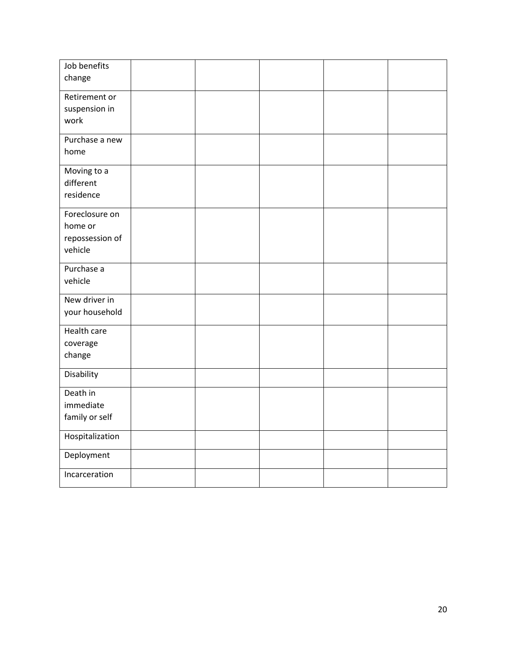| Job benefits<br>change                                  |  |  |  |
|---------------------------------------------------------|--|--|--|
| Retirement or<br>suspension in<br>work                  |  |  |  |
| Purchase a new<br>home                                  |  |  |  |
| Moving to a<br>different<br>residence                   |  |  |  |
| Foreclosure on<br>home or<br>repossession of<br>vehicle |  |  |  |
| Purchase a<br>vehicle                                   |  |  |  |
| New driver in<br>your household                         |  |  |  |
| Health care<br>coverage<br>change                       |  |  |  |
| Disability                                              |  |  |  |
| Death in<br>immediate<br>family or self                 |  |  |  |
| Hospitalization                                         |  |  |  |
| Deployment                                              |  |  |  |
| Incarceration                                           |  |  |  |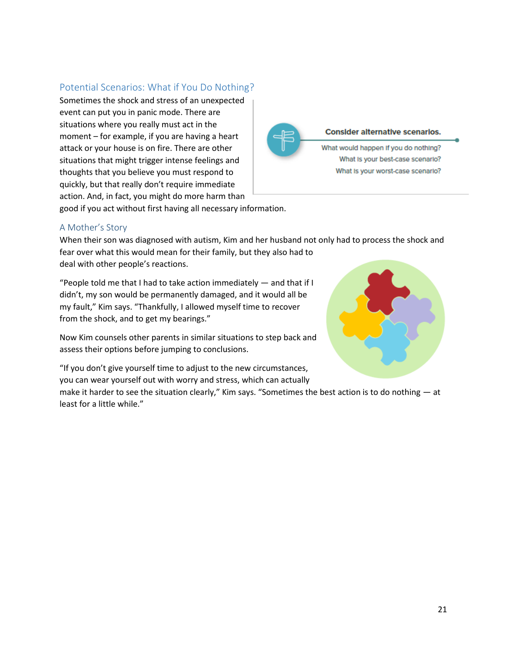### <span id="page-20-0"></span>Potential Scenarios: What if You Do Nothing?

Sometimes the shock and stress of an unexpected event can put you in panic mode. There are situations where you really must act in the moment – for example, if you are having a heart attack or your house is on fire. There are other situations that might trigger intense feelings and thoughts that you believe you must respond to quickly, but that really don't require immediate action. And, in fact, you might do more harm than



good if you act without first having all necessary information.

### A Mother's Story

When their son was diagnosed with autism, Kim and her husband not only had to process the shock and fear over what this would mean for their family, but they also had to deal with other people's reactions.

"People told me that I had to take action immediately — and that if I didn't, my son would be permanently damaged, and it would all be my fault," Kim says. "Thankfully, I allowed myself time to recover from the shock, and to get my bearings."

Now Kim counsels other parents in similar situations to step back and assess their options before jumping to conclusions.

"If you don't give yourself time to adjust to the new circumstances, you can wear yourself out with worry and stress, which can actually

make it harder to see the situation clearly," Kim says. "Sometimes the best action is to do nothing — at least for a little while."

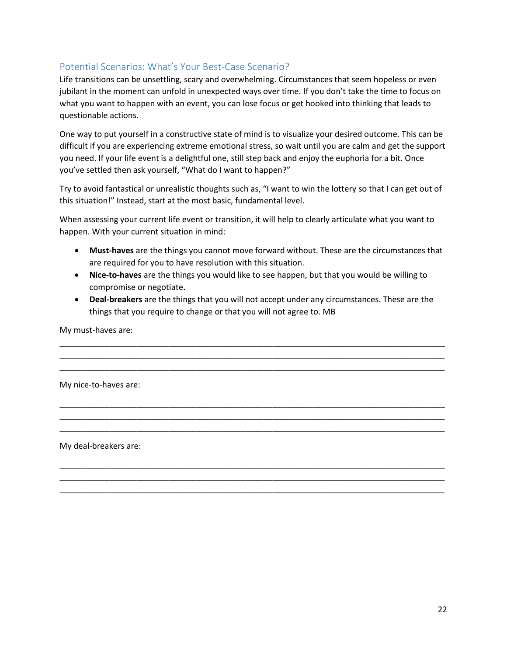## Potential Scenarios: What's Your Best-Case Scenario?

Life transitions can be unsettling, scary and overwhelming. Circumstances that seem hopeless or even jubilant in the moment can unfold in unexpected ways over time. If you don't take the time to focus on what you want to happen with an event, you can lose focus or get hooked into thinking that leads to questionable actions.

One way to put yourself in a constructive state of mind is to visualize your desired outcome. This can be difficult if you are experiencing extreme emotional stress, so wait until you are calm and get the support you need. If your life event is a delightful one, still step back and enjoy the euphoria for a bit. Once you've settled then ask yourself, "What do I want to happen?"

Try to avoid fantastical or unrealistic thoughts such as, "I want to win the lottery so that I can get out of this situation!" Instead, start at the most basic, fundamental level.

When assessing your current life event or transition, it will help to clearly articulate what you want to happen. With your current situation in mind:

- **Must-haves** are the things you cannot move forward without. These are the circumstances that are required for you to have resolution with this situation.
- **Nice-to-haves** are the things you would like to see happen, but that you would be willing to compromise or negotiate.
- **Deal-breakers** are the things that you will not accept under any circumstances. These are the things that you require to change or that you will not agree to. MB

\_\_\_\_\_\_\_\_\_\_\_\_\_\_\_\_\_\_\_\_\_\_\_\_\_\_\_\_\_\_\_\_\_\_\_\_\_\_\_\_\_\_\_\_\_\_\_\_\_\_\_\_\_\_\_\_\_\_\_\_\_\_\_\_\_\_\_\_\_\_\_\_\_\_\_\_\_\_\_\_\_\_\_\_\_ \_\_\_\_\_\_\_\_\_\_\_\_\_\_\_\_\_\_\_\_\_\_\_\_\_\_\_\_\_\_\_\_\_\_\_\_\_\_\_\_\_\_\_\_\_\_\_\_\_\_\_\_\_\_\_\_\_\_\_\_\_\_\_\_\_\_\_\_\_\_\_\_\_\_\_\_\_\_\_\_\_\_\_\_\_ \_\_\_\_\_\_\_\_\_\_\_\_\_\_\_\_\_\_\_\_\_\_\_\_\_\_\_\_\_\_\_\_\_\_\_\_\_\_\_\_\_\_\_\_\_\_\_\_\_\_\_\_\_\_\_\_\_\_\_\_\_\_\_\_\_\_\_\_\_\_\_\_\_\_\_\_\_\_\_\_\_\_\_\_\_

\_\_\_\_\_\_\_\_\_\_\_\_\_\_\_\_\_\_\_\_\_\_\_\_\_\_\_\_\_\_\_\_\_\_\_\_\_\_\_\_\_\_\_\_\_\_\_\_\_\_\_\_\_\_\_\_\_\_\_\_\_\_\_\_\_\_\_\_\_\_\_\_\_\_\_\_\_\_\_\_\_\_\_\_\_ \_\_\_\_\_\_\_\_\_\_\_\_\_\_\_\_\_\_\_\_\_\_\_\_\_\_\_\_\_\_\_\_\_\_\_\_\_\_\_\_\_\_\_\_\_\_\_\_\_\_\_\_\_\_\_\_\_\_\_\_\_\_\_\_\_\_\_\_\_\_\_\_\_\_\_\_\_\_\_\_\_\_\_\_\_ \_\_\_\_\_\_\_\_\_\_\_\_\_\_\_\_\_\_\_\_\_\_\_\_\_\_\_\_\_\_\_\_\_\_\_\_\_\_\_\_\_\_\_\_\_\_\_\_\_\_\_\_\_\_\_\_\_\_\_\_\_\_\_\_\_\_\_\_\_\_\_\_\_\_\_\_\_\_\_\_\_\_\_\_\_

\_\_\_\_\_\_\_\_\_\_\_\_\_\_\_\_\_\_\_\_\_\_\_\_\_\_\_\_\_\_\_\_\_\_\_\_\_\_\_\_\_\_\_\_\_\_\_\_\_\_\_\_\_\_\_\_\_\_\_\_\_\_\_\_\_\_\_\_\_\_\_\_\_\_\_\_\_\_\_\_\_\_\_\_\_ \_\_\_\_\_\_\_\_\_\_\_\_\_\_\_\_\_\_\_\_\_\_\_\_\_\_\_\_\_\_\_\_\_\_\_\_\_\_\_\_\_\_\_\_\_\_\_\_\_\_\_\_\_\_\_\_\_\_\_\_\_\_\_\_\_\_\_\_\_\_\_\_\_\_\_\_\_\_\_\_\_\_\_\_\_ \_\_\_\_\_\_\_\_\_\_\_\_\_\_\_\_\_\_\_\_\_\_\_\_\_\_\_\_\_\_\_\_\_\_\_\_\_\_\_\_\_\_\_\_\_\_\_\_\_\_\_\_\_\_\_\_\_\_\_\_\_\_\_\_\_\_\_\_\_\_\_\_\_\_\_\_\_\_\_\_\_\_\_\_\_

My must-haves are:

My nice-to-haves are:

My deal-breakers are: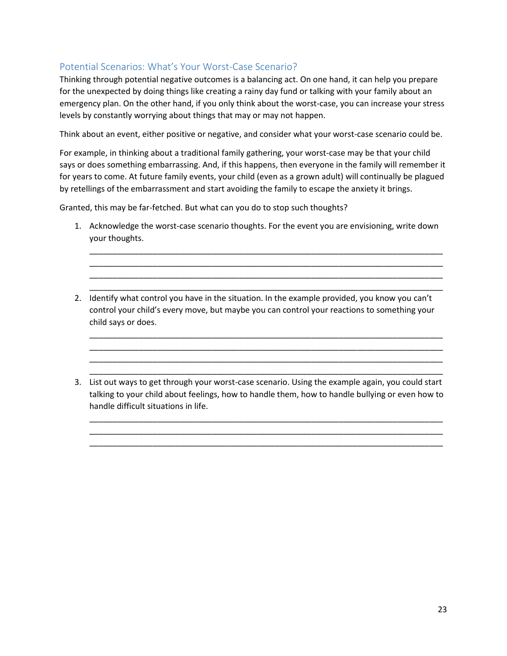## Potential Scenarios: What's Your Worst-Case Scenario?

Thinking through potential negative outcomes is a balancing act. On one hand, it can help you prepare for the unexpected by doing things like creating a rainy day fund or talking with your family about an emergency plan. On the other hand, if you only think about the worst-case, you can increase your stress levels by constantly worrying about things that may or may not happen.

Think about an event, either positive or negative, and consider what your worst-case scenario could be.

For example, in thinking about a traditional family gathering, your worst-case may be that your child says or does something embarrassing. And, if this happens, then everyone in the family will remember it for years to come. At future family events, your child (even as a grown adult) will continually be plagued by retellings of the embarrassment and start avoiding the family to escape the anxiety it brings.

Granted, this may be far-fetched. But what can you do to stop such thoughts?

1. Acknowledge the worst-case scenario thoughts. For the event you are envisioning, write down your thoughts.

\_\_\_\_\_\_\_\_\_\_\_\_\_\_\_\_\_\_\_\_\_\_\_\_\_\_\_\_\_\_\_\_\_\_\_\_\_\_\_\_\_\_\_\_\_\_\_\_\_\_\_\_\_\_\_\_\_\_\_\_\_\_\_\_\_\_\_\_\_\_\_\_\_\_\_\_\_\_ \_\_\_\_\_\_\_\_\_\_\_\_\_\_\_\_\_\_\_\_\_\_\_\_\_\_\_\_\_\_\_\_\_\_\_\_\_\_\_\_\_\_\_\_\_\_\_\_\_\_\_\_\_\_\_\_\_\_\_\_\_\_\_\_\_\_\_\_\_\_\_\_\_\_\_\_\_\_ \_\_\_\_\_\_\_\_\_\_\_\_\_\_\_\_\_\_\_\_\_\_\_\_\_\_\_\_\_\_\_\_\_\_\_\_\_\_\_\_\_\_\_\_\_\_\_\_\_\_\_\_\_\_\_\_\_\_\_\_\_\_\_\_\_\_\_\_\_\_\_\_\_\_\_\_\_\_ \_\_\_\_\_\_\_\_\_\_\_\_\_\_\_\_\_\_\_\_\_\_\_\_\_\_\_\_\_\_\_\_\_\_\_\_\_\_\_\_\_\_\_\_\_\_\_\_\_\_\_\_\_\_\_\_\_\_\_\_\_\_\_\_\_\_\_\_\_\_\_\_\_\_\_\_\_\_

2. Identify what control you have in the situation. In the example provided, you know you can't control your child's every move, but maybe you can control your reactions to something your child says or does.

\_\_\_\_\_\_\_\_\_\_\_\_\_\_\_\_\_\_\_\_\_\_\_\_\_\_\_\_\_\_\_\_\_\_\_\_\_\_\_\_\_\_\_\_\_\_\_\_\_\_\_\_\_\_\_\_\_\_\_\_\_\_\_\_\_\_\_\_\_\_\_\_\_\_\_\_\_\_ \_\_\_\_\_\_\_\_\_\_\_\_\_\_\_\_\_\_\_\_\_\_\_\_\_\_\_\_\_\_\_\_\_\_\_\_\_\_\_\_\_\_\_\_\_\_\_\_\_\_\_\_\_\_\_\_\_\_\_\_\_\_\_\_\_\_\_\_\_\_\_\_\_\_\_\_\_\_ \_\_\_\_\_\_\_\_\_\_\_\_\_\_\_\_\_\_\_\_\_\_\_\_\_\_\_\_\_\_\_\_\_\_\_\_\_\_\_\_\_\_\_\_\_\_\_\_\_\_\_\_\_\_\_\_\_\_\_\_\_\_\_\_\_\_\_\_\_\_\_\_\_\_\_\_\_\_ \_\_\_\_\_\_\_\_\_\_\_\_\_\_\_\_\_\_\_\_\_\_\_\_\_\_\_\_\_\_\_\_\_\_\_\_\_\_\_\_\_\_\_\_\_\_\_\_\_\_\_\_\_\_\_\_\_\_\_\_\_\_\_\_\_\_\_\_\_\_\_\_\_\_\_\_\_\_

3. List out ways to get through your worst-case scenario. Using the example again, you could start talking to your child about feelings, how to handle them, how to handle bullying or even how to handle difficult situations in life.

\_\_\_\_\_\_\_\_\_\_\_\_\_\_\_\_\_\_\_\_\_\_\_\_\_\_\_\_\_\_\_\_\_\_\_\_\_\_\_\_\_\_\_\_\_\_\_\_\_\_\_\_\_\_\_\_\_\_\_\_\_\_\_\_\_\_\_\_\_\_\_\_\_\_\_\_\_\_ \_\_\_\_\_\_\_\_\_\_\_\_\_\_\_\_\_\_\_\_\_\_\_\_\_\_\_\_\_\_\_\_\_\_\_\_\_\_\_\_\_\_\_\_\_\_\_\_\_\_\_\_\_\_\_\_\_\_\_\_\_\_\_\_\_\_\_\_\_\_\_\_\_\_\_\_\_\_ \_\_\_\_\_\_\_\_\_\_\_\_\_\_\_\_\_\_\_\_\_\_\_\_\_\_\_\_\_\_\_\_\_\_\_\_\_\_\_\_\_\_\_\_\_\_\_\_\_\_\_\_\_\_\_\_\_\_\_\_\_\_\_\_\_\_\_\_\_\_\_\_\_\_\_\_\_\_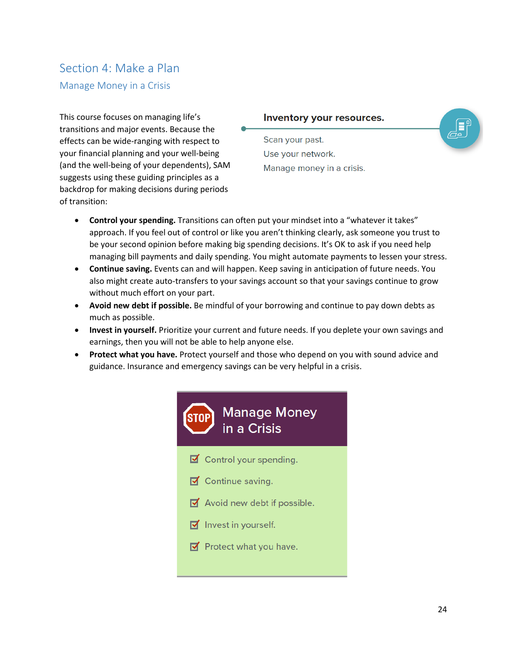# <span id="page-23-0"></span>Section 4: Make a Plan

### <span id="page-23-1"></span>Manage Money in a Crisis

This course focuses on managing life's transitions and major events. Because the effects can be wide-ranging with respect to your financial planning and your well-being (and the well-being of your dependents), SAM suggests using these guiding principles as a backdrop for making decisions during periods of transition:

### Inventory your resources.

Scan your past. Use your network. Manage money in a crisis.



- **Control your spending.** Transitions can often put your mindset into a "whatever it takes" approach. If you feel out of control or like you aren't thinking clearly, ask someone you trust to be your second opinion before making big spending decisions. It's OK to ask if you need help managing bill payments and daily spending. You might automate payments to lessen your stress.
- **Continue saving.** Events can and will happen. Keep saving in anticipation of future needs. You also might create auto-transfers to your savings account so that your savings continue to grow without much effort on your part.
- **Avoid new debt if possible.** Be mindful of your borrowing and continue to pay down debts as much as possible.
- **Invest in yourself.** Prioritize your current and future needs. If you deplete your own savings and earnings, then you will not be able to help anyone else.
- **Protect what you have.** Protect yourself and those who depend on you with sound advice and guidance. Insurance and emergency savings can be very helpful in a crisis.

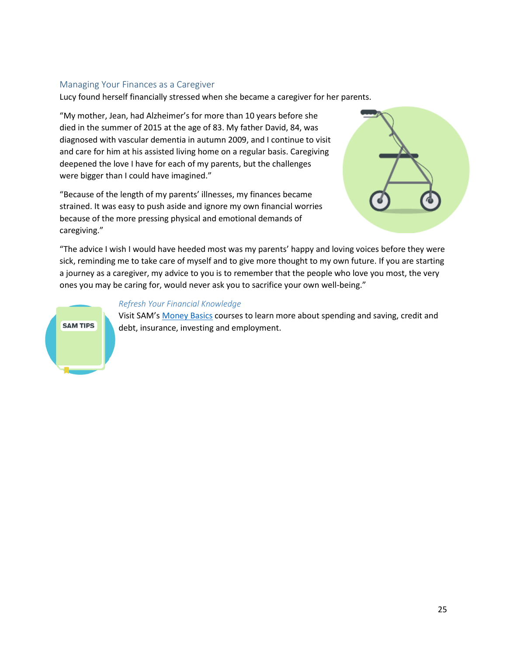### Managing Your Finances as a Caregiver

Lucy found herself financially stressed when she became a caregiver for her parents.

"My mother, Jean, had Alzheimer's for more than 10 years before she died in the summer of 2015 at the age of 83. My father David, 84, was diagnosed with vascular dementia in autumn 2009, and I continue to visit and care for him at his assisted living home on a regular basis. Caregiving deepened the love I have for each of my parents, but the challenges were bigger than I could have imagined."

"Because of the length of my parents' illnesses, my finances became strained. It was easy to push aside and ignore my own financial worries because of the more pressing physical and emotional demands of caregiving."



"The advice I wish I would have heeded most was my parents' happy and loving voices before they were sick, reminding me to take care of myself and to give more thought to my own future. If you are starting a journey as a caregiver, my advice to you is to remember that the people who love you most, the very ones you may be caring for, would never ask you to sacrifice your own well-being."

### *Refresh Your Financial Knowledge*

Visit SAM's [Money Basics](https://www.smartaboutmoney.org/Courses/Money-Basics) courses to learn more about spending and saving, credit and debt, insurance, investing and employment.

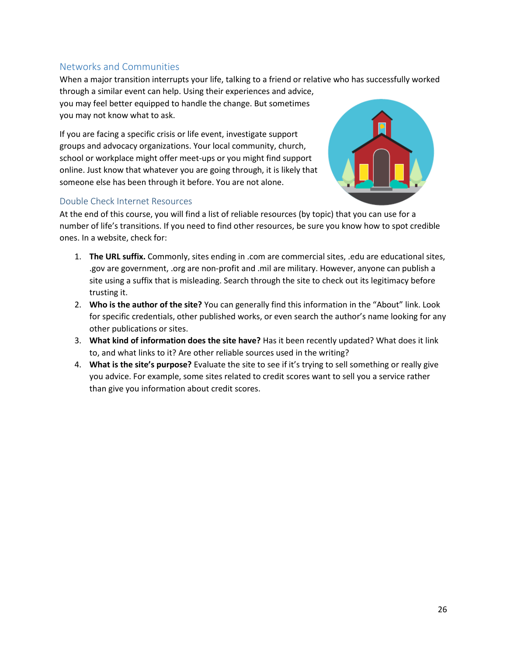## <span id="page-25-0"></span>Networks and Communities

When a major transition interrupts your life, talking to a friend or relative who has successfully worked through a similar event can help. Using their experiences and advice, you may feel better equipped to handle the change. But sometimes you may not know what to ask.

If you are facing a specific crisis or life event, investigate support groups and advocacy organizations. Your local community, church, school or workplace might offer meet-ups or you might find support online. Just know that whatever you are going through, it is likely that someone else has been through it before. You are not alone.

### Double Check Internet Resources



At the end of this course, you will find a list of reliable resources (by topic) that you can use for a number of life's transitions. If you need to find other resources, be sure you know how to spot credible ones. In a website, check for:

- 1. **The URL suffix.** Commonly, sites ending in .com are commercial sites, .edu are educational sites, .gov are government, .org are non-profit and .mil are military. However, anyone can publish a site using a suffix that is misleading. Search through the site to check out its legitimacy before trusting it.
- 2. **Who is the author of the site?** You can generally find this information in the "About" link. Look for specific credentials, other published works, or even search the author's name looking for any other publications or sites.
- 3. **What kind of information does the site have?** Has it been recently updated? What does it link to, and what links to it? Are other reliable sources used in the writing?
- 4. **What is the site's purpose?** Evaluate the site to see if it's trying to sell something or really give you advice. For example, some sites related to credit scores want to sell you a service rather than give you information about credit scores.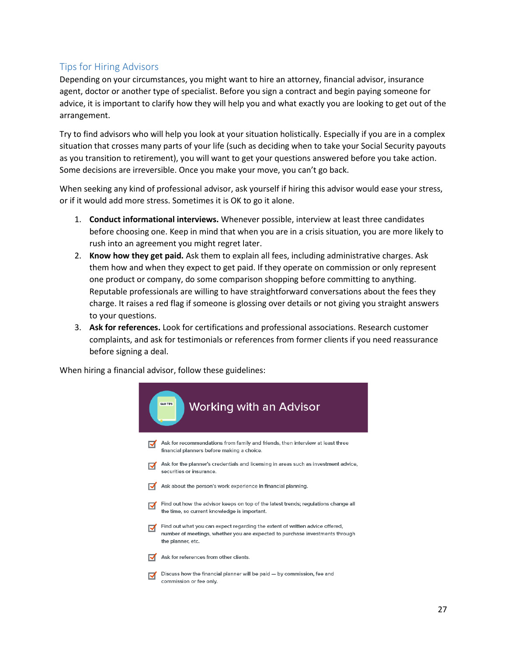## <span id="page-26-0"></span>Tips for Hiring Advisors

Depending on your circumstances, you might want to hire an attorney, financial advisor, insurance agent, doctor or another type of specialist. Before you sign a contract and begin paying someone for advice, it is important to clarify how they will help you and what exactly you are looking to get out of the arrangement.

Try to find advisors who will help you look at your situation holistically. Especially if you are in a complex situation that crosses many parts of your life (such as deciding when to take your Social Security payouts as you transition to retirement), you will want to get your questions answered before you take action. Some decisions are irreversible. Once you make your move, you can't go back.

When seeking any kind of professional advisor, ask yourself if hiring this advisor would ease your stress, or if it would add more stress. Sometimes it is OK to go it alone.

- 1. **Conduct informational interviews.** Whenever possible, interview at least three candidates before choosing one. Keep in mind that when you are in a crisis situation, you are more likely to rush into an agreement you might regret later.
- 2. **Know how they get paid.** Ask them to explain all fees, including administrative charges. Ask them how and when they expect to get paid. If they operate on commission or only represent one product or company, do some comparison shopping before committing to anything. Reputable professionals are willing to have straightforward conversations about the fees they charge. It raises a red flag if someone is glossing over details or not giving you straight answers to your questions.
- 3. **Ask for references.** Look for certifications and professional associations. Research customer complaints, and ask for testimonials or references from former clients if you need reassurance before signing a deal.

When hiring a financial advisor, follow these guidelines:

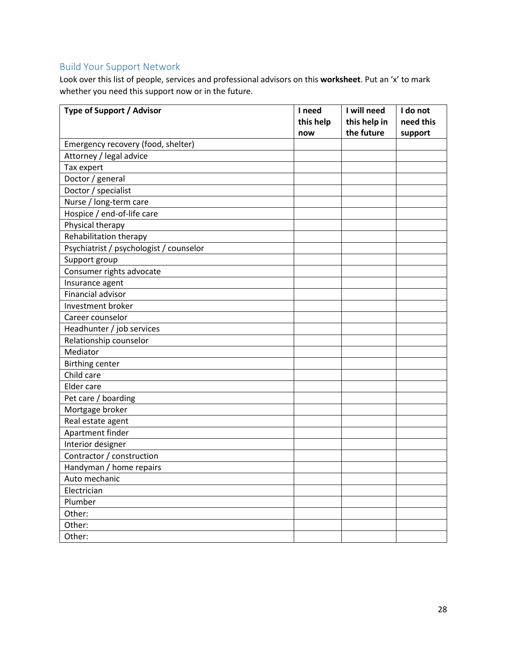## Build Your Support Network

Look over this list of people, services and professional advisors on this **worksheet**. Put an 'x' to mark whether you need this support now or in the future.

| Type of Support / Advisor               | I need    | I will need  | I do not  |
|-----------------------------------------|-----------|--------------|-----------|
|                                         | this help | this help in | need this |
|                                         | now       | the future   | support   |
| Emergency recovery (food, shelter)      |           |              |           |
| Attorney / legal advice                 |           |              |           |
| Tax expert                              |           |              |           |
| Doctor / general                        |           |              |           |
| Doctor / specialist                     |           |              |           |
| Nurse / long-term care                  |           |              |           |
| Hospice / end-of-life care              |           |              |           |
| Physical therapy                        |           |              |           |
| Rehabilitation therapy                  |           |              |           |
| Psychiatrist / psychologist / counselor |           |              |           |
| Support group                           |           |              |           |
| Consumer rights advocate                |           |              |           |
| Insurance agent                         |           |              |           |
| Financial advisor                       |           |              |           |
| Investment broker                       |           |              |           |
| Career counselor                        |           |              |           |
| Headhunter / job services               |           |              |           |
| Relationship counselor                  |           |              |           |
| Mediator                                |           |              |           |
| <b>Birthing center</b>                  |           |              |           |
| Child care                              |           |              |           |
| Elder care                              |           |              |           |
| Pet care / boarding                     |           |              |           |
| Mortgage broker                         |           |              |           |
| Real estate agent                       |           |              |           |
| Apartment finder                        |           |              |           |
| Interior designer                       |           |              |           |
| Contractor / construction               |           |              |           |
| Handyman / home repairs                 |           |              |           |
| Auto mechanic                           |           |              |           |
| Electrician                             |           |              |           |
| Plumber                                 |           |              |           |
| Other:                                  |           |              |           |
| Other:                                  |           |              |           |
| Other:                                  |           |              |           |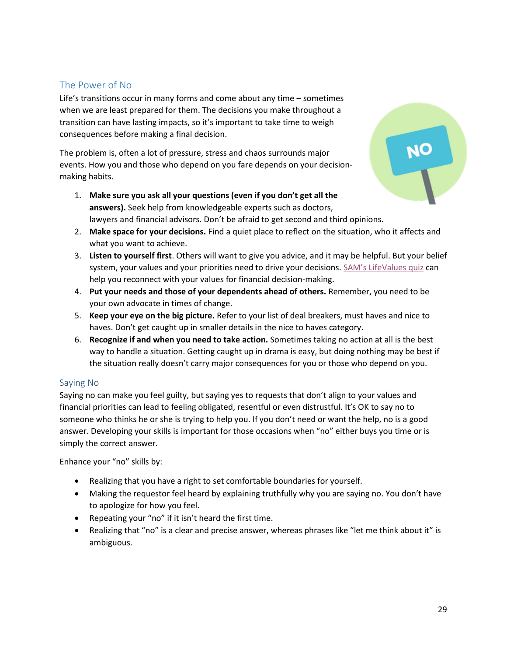## <span id="page-28-0"></span>The Power of No

Life's transitions occur in many forms and come about any time – sometimes when we are least prepared for them. The decisions you make throughout a transition can have lasting impacts, so it's important to take time to weigh consequences before making a final decision.

The problem is, often a lot of pressure, stress and chaos surrounds major events. How you and those who depend on you fare depends on your decisionmaking habits.

- 1. **Make sure you ask all your questions (even if you don't get all the answers).** Seek help from knowledgeable experts such as doctors, lawyers and financial advisors. Don't be afraid to get second and third opinions.
- 2. **Make space for your decisions.** Find a quiet place to reflect on the situation, who it affects and what you want to achieve.
- 3. **Listen to yourself first**. Others will want to give you advice, and it may be helpful. But your belief system, your values and your priorities need to drive your decisions. [SAM's LifeValues quiz](https://www.smartaboutmoney.org/Tools/LifeValues-Quiz) can help you reconnect with your values for financial decision-making.
- 4. **Put your needs and those of your dependents ahead of others.** Remember, you need to be your own advocate in times of change.
- 5. **Keep your eye on the big picture.** Refer to your list of deal breakers, must haves and nice to haves. Don't get caught up in smaller details in the nice to haves category.
- 6. **Recognize if and when you need to take action.** Sometimes taking no action at all is the best way to handle a situation. Getting caught up in drama is easy, but doing nothing may be best if the situation really doesn't carry major consequences for you or those who depend on you.

### Saying No

Saying no can make you feel guilty, but saying yes to requests that don't align to your values and financial priorities can lead to feeling obligated, resentful or even distrustful. It's OK to say no to someone who thinks he or she is trying to help you. If you don't need or want the help, no is a good answer. Developing your skills is important for those occasions when "no" either buys you time or is simply the correct answer.

Enhance your "no" skills by:

- Realizing that you have a right to set comfortable boundaries for yourself.
- Making the requestor feel heard by explaining truthfully why you are saying no. You don't have to apologize for how you feel.
- Repeating your "no" if it isn't heard the first time.
- Realizing that "no" is a clear and precise answer, whereas phrases like "let me think about it" is ambiguous.

NO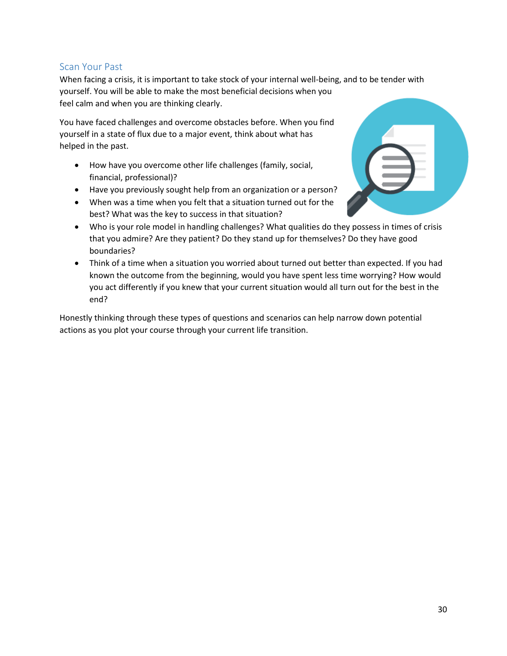## <span id="page-29-0"></span>Scan Your Past

When facing a crisis, it is important to take stock of your internal well-being, and to be tender with yourself. You will be able to make the most beneficial decisions when you feel calm and when you are thinking clearly.

You have faced challenges and overcome obstacles before. When you find yourself in a state of flux due to a major event, think about what has helped in the past.

- How have you overcome other life challenges (family, social, financial, professional)?
- Have you previously sought help from an organization or a person?
- When was a time when you felt that a situation turned out for the best? What was the key to success in that situation?
- Who is your role model in handling challenges? What qualities do they possess in times of crisis that you admire? Are they patient? Do they stand up for themselves? Do they have good boundaries?
- Think of a time when a situation you worried about turned out better than expected. If you had known the outcome from the beginning, would you have spent less time worrying? How would you act differently if you knew that your current situation would all turn out for the best in the end?

Honestly thinking through these types of questions and scenarios can help narrow down potential actions as you plot your course through your current life transition.

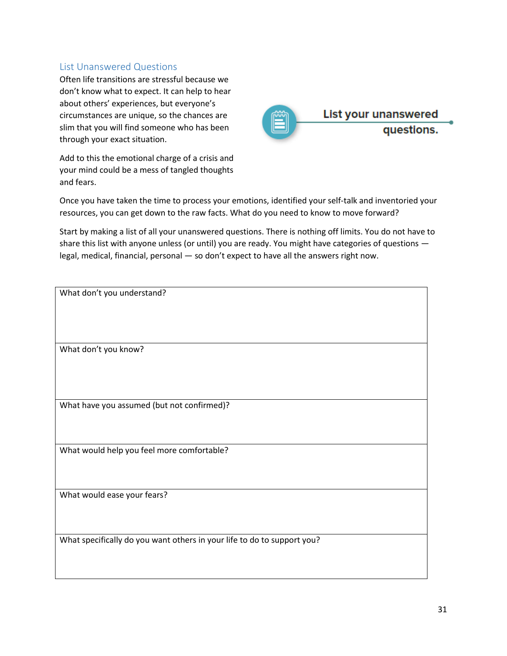## <span id="page-30-0"></span>List Unanswered Questions

Often life transitions are stressful because we don't know what to expect. It can help to hear about others' experiences, but everyone's circumstances are unique, so the chances are slim that you will find someone who has been through your exact situation.

Add to this the emotional charge of a crisis and your mind could be a mess of tangled thoughts and fears.



Once you have taken the time to process your emotions, identified your self-talk and inventoried your resources, you can get down to the raw facts. What do you need to know to move forward?

Start by making a list of all your unanswered questions. There is nothing off limits. You do not have to share this list with anyone unless (or until) you are ready. You might have categories of questions legal, medical, financial, personal — so don't expect to have all the answers right now.

| What don't you understand?                                              |
|-------------------------------------------------------------------------|
|                                                                         |
|                                                                         |
| What don't you know?                                                    |
|                                                                         |
|                                                                         |
|                                                                         |
| What have you assumed (but not confirmed)?                              |
|                                                                         |
|                                                                         |
| What would help you feel more comfortable?                              |
|                                                                         |
| What would ease your fears?                                             |
|                                                                         |
|                                                                         |
| What specifically do you want others in your life to do to support you? |
|                                                                         |
|                                                                         |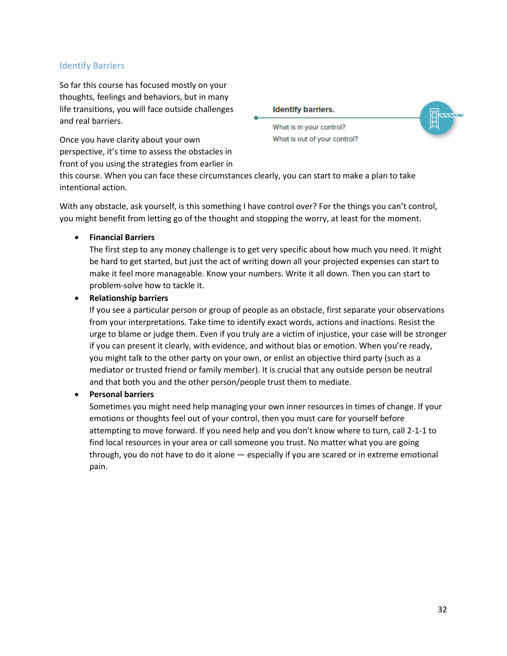### <span id="page-31-0"></span>Identify Barriers

So far this course has focused mostly on your thoughts, feelings and behaviors, but in many life transitions, you will face outside challenges and real barriers.

Once you have clarity about your own perspective, it's time to assess the obstacles in front of you using the strategies from earlier in **Identify barriers.** 



What is in your control? What Is out of your control?

this course. When you can face these circumstances clearly, you can start to make a plan to take intentional action.

With any obstacle, ask yourself, is this something I have control over? For the things you can't control, you might benefit from letting go of the thought and stopping the worry, at least for the moment.

• **Financial Barriers**

The first step to any money challenge is to get very specific about how much you need. It might be hard to get started, but just the act of writing down all your projected expenses can start to make it feel more manageable. Know your numbers. Write it all down. Then you can start to problem-solve how to tackle it.

### • **Relationship barriers**

If you see a particular person or group of people as an obstacle, first separate your observations from your interpretations. Take time to identify exact words, actions and inactions. Resist the urge to blame or judge them. Even if you truly are a victim of injustice, your case will be stronger if you can present it clearly, with evidence, and without bias or emotion. When you're ready, you might talk to the other party on your own, or enlist an objective third party (such as a mediator or trusted friend or family member). It is crucial that any outside person be neutral and that both you and the other person/people trust them to mediate.

### • **Personal barriers**

Sometimes you might need help managing your own inner resources in times of change. If your emotions or thoughts feel out of your control, then you must care for yourself before attempting to move forward. If you need help and you don't know where to turn, call 2-1-1 to find local resources in your area or call someone you trust. No matter what you are going through, you do not have to do it alone — especially if you are scared or in extreme emotional pain.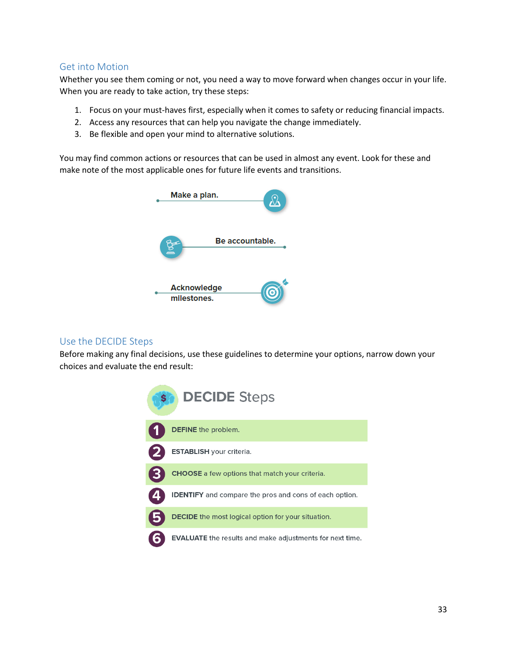### <span id="page-32-0"></span>Get into Motion

Whether you see them coming or not, you need a way to move forward when changes occur in your life. When you are ready to take action, try these steps:

- 1. Focus on your must-haves first, especially when it comes to safety or reducing financial impacts.
- 2. Access any resources that can help you navigate the change immediately.
- 3. Be flexible and open your mind to alternative solutions.

You may find common actions or resources that can be used in almost any event. Look for these and make note of the most applicable ones for future life events and transitions.



### <span id="page-32-1"></span>Use the DECIDE Steps

Before making any final decisions, use these guidelines to determine your options, narrow down your choices and evaluate the end result:

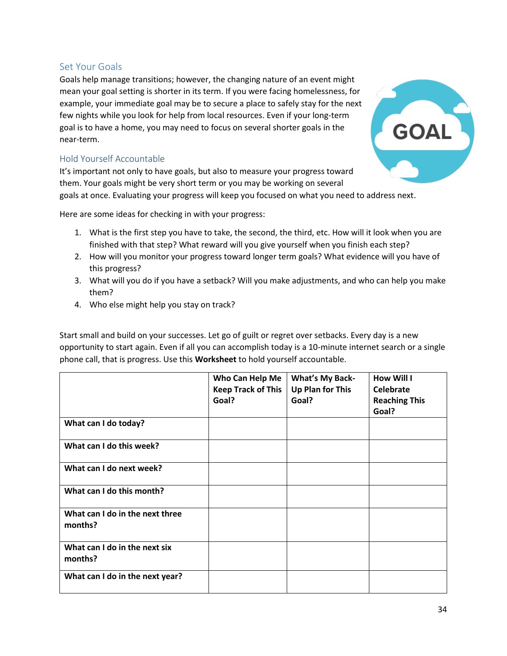### <span id="page-33-0"></span>Set Your Goals

Goals help manage transitions; however, the changing nature of an event might mean your goal setting is shorter in its term. If you were facing homelessness, for example, your immediate goal may be to secure a place to safely stay for the next few nights while you look for help from local resources. Even if your long-term goal is to have a home, you may need to focus on several shorter goals in the near-term.

### Hold Yourself Accountable

It's important not only to have goals, but also to measure your progress toward them. Your goals might be very short term or you may be working on several

goals at once. Evaluating your progress will keep you focused on what you need to address next.

Here are some ideas for checking in with your progress:

- 1. What is the first step you have to take, the second, the third, etc. How will it look when you are finished with that step? What reward will you give yourself when you finish each step?
- 2. How will you monitor your progress toward longer term goals? What evidence will you have of this progress?
- 3. What will you do if you have a setback? Will you make adjustments, and who can help you make them?
- 4. Who else might help you stay on track?

Start small and build on your successes. Let go of guilt or regret over setbacks. Every day is a new opportunity to start again. Even if all you can accomplish today is a 10-minute internet search or a single phone call, that is progress. Use this **Worksheet** to hold yourself accountable.

|                                            | Who Can Help Me           | <b>What's My Back-</b>  | <b>How Will I</b>    |
|--------------------------------------------|---------------------------|-------------------------|----------------------|
|                                            | <b>Keep Track of This</b> | <b>Up Plan for This</b> | Celebrate            |
|                                            | Goal?                     | Goal?                   | <b>Reaching This</b> |
|                                            |                           |                         | Goal?                |
| What can I do today?                       |                           |                         |                      |
| What can I do this week?                   |                           |                         |                      |
| What can I do next week?                   |                           |                         |                      |
| What can I do this month?                  |                           |                         |                      |
| What can I do in the next three<br>months? |                           |                         |                      |
| What can I do in the next six<br>months?   |                           |                         |                      |
| What can I do in the next year?            |                           |                         |                      |

GOAL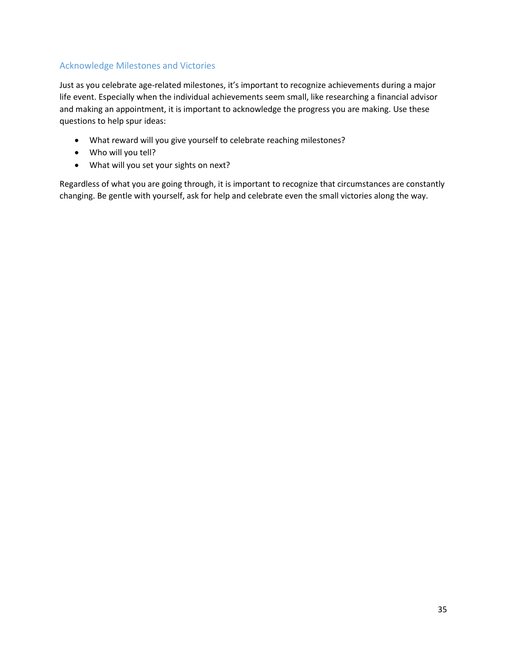## <span id="page-34-0"></span>Acknowledge Milestones and Victories

Just as you celebrate age-related milestones, it's important to recognize achievements during a major life event. Especially when the individual achievements seem small, like researching a financial advisor and making an appointment, it is important to acknowledge the progress you are making. Use these questions to help spur ideas:

- What reward will you give yourself to celebrate reaching milestones?
- Who will you tell?
- What will you set your sights on next?

Regardless of what you are going through, it is important to recognize that circumstances are constantly changing. Be gentle with yourself, ask for help and celebrate even the small victories along the way.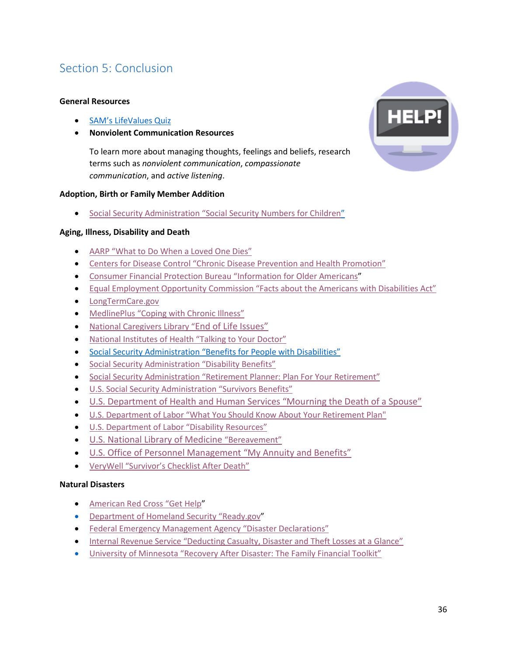# <span id="page-35-0"></span>Section 5: Conclusion

### **General Resources**

- SAM'[s LifeValues Quiz](https://www.smartaboutmoney.org/Tools/LifeValues-Quiz)
- **Nonviolent Communication Resources**

To learn more about managing thoughts, feelings and beliefs, research terms such as *nonviolent communication*, *compassionate communication*, and *active listening*.

### **Adoption, Birth or Family Member Addition**

• Social Security [Administration "Social](https://www.ssa.gov/pubs/EN-05-10023.pdf) Security Numbers for Children"

### **Aging, Illness, Disability and Death**

- [AARP "What to Do When a Loved One Dies"](http://www.aarp.org/home-family/friends-family/info-06-2012/when-loved-one-dies-checklist.html)
- Centers for Disease Control "C[hronic Disease Prevention and Health Promotion](https://www.cdc.gov/chronicdisease/index.htm)"
- [Consumer Financial Protection Bureau](https://www.consumerfinance.gov/older-americans/) "Information for Older Americans"
- [Equal Employment Opportunity Commission "Facts about the Americans with Disabilities Act"](https://www.eeoc.gov/facts/fs-ada.html)
- [LongTermCare.gov](http://www.longtermcare.gov/)
- MedlinePlus "[Coping with Chronic Illness](https://medlineplus.gov/copingwithchronicillness.html)"
- [National Caregivers Library "](http://www.caregiverslibrary.org/caregivers-resources/grp-end-of-life-issues.aspx)[End of Life Issues"](http://www.caregiverslibrary.org/caregivers-resources/grp-end-of-life-issues.aspx)
- National Institutes of Health "[Talking to Your Doctor](https://www.nih.gov/institutes-nih/nih-office-director/office-communications-public-liaison/clear-communication/talking-your-doctor)"
- [Social Security Administration "Benefits for People with Disabilities"](https://www.ssa.gov/disability/)
- [Social Security Administration "Disability Benefits"](https://www.ssa.gov/pubs/EN-05-10029.pdf)
- Social Security Administration "[Retirement Planner: Plan For Your](https://www.ssa.gov/planners/retire/index.html) Retirement"
- [U.S. Social Security Administration "Survivors Benefits"](https://www.ssa.gov/pubs/EN-05-10084.pdf)
- [U.S. Department of Health and Human Services "Mourning the Death of a Spouse"](https://www.nia.nih.gov/health/publication/mourning-death-spouse)
- [U.S. Department of Labor "What You Should Know About Your Retirement Plan"](https://www.dol.gov/sites/default/files/ebsa/about-ebsa/our-activities/resource-center/publications/what-you-should-know-about-your-retirement-plan.pdf)
- U.S. Depa[rtment of Labor "Disability Resources"](https://www.dol.gov/odep/topics/disability.htm)
- [U.S. National Library of Medicine](https://medlineplus.gov/bereavement.html) ["Bereavement"](https://medlineplus.gov/bereavement.html)
- [U.S. Office of Personnel Management "My Annuity and Benefits"](https://www.opm.gov/retirement-services/my-annuity-and-benefits/life-events/death/death-of-spouse/)
- [VeryWell "Survivor's Checklist After Death"](https://www.verywell.com/survivors-checklist-after-death-1132601)

### **Natural Disasters**

- [American Red Cross](http://www.redcross.org/get-help) "Get Help"
- [Department of Homeland Security "R](https://www.ready.gov/)eady.gov"
- [Federal Emergency Management Agency](https://www.fema.gov/disasters) "Disaster Declarations"
- [Internal Revenue Service "Deducting Casual](https://www.irs.gov/credits-deductions/individuals/deducting-casualty-disaster-theft-losses)ty, Disaster and Theft Losses at a Glance"
- [University of Minnesota "Recovery After Disaster: The Family Financial Toolkit"](http://www.extension.umn.edu/family/disaster-recovery/moving-towards-recovery/recovery-after-disaster/)

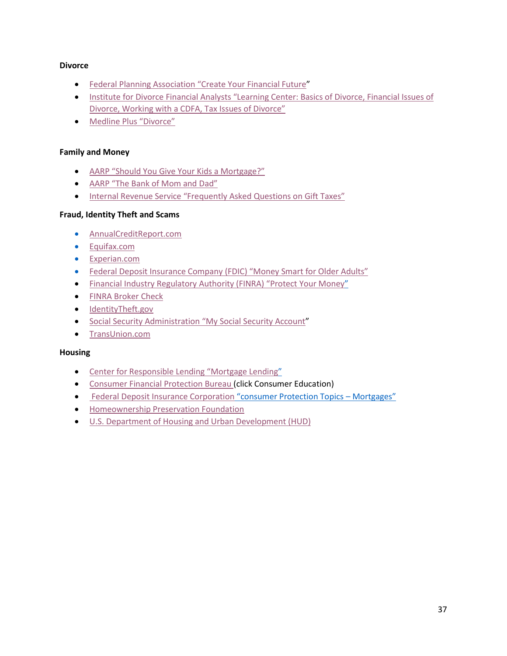### **Divorce**

- [Federal Planning Association "C](http://www.plannersearch.org/)reate Your Financial Future"
- Institute for Divorce Financial Analysts "L[earning Center: Basics of Divorce, Financial Issues of](https://www.institutedfa.com/learning-center/)  [Divorce, Working with a CDFA, Tax Issues of Divorce](https://www.institutedfa.com/learning-center/)"
- [Medline Plus "](https://medlineplus.gov/divorce.html)Divorce"

### **Family and Money**

- [AARP "Should You Give Your Kids a Mortgage?"](http://www.aarp.org/money/credit-loans-debt/info-08-2013/giving-your-kids-a-mortgage.html)
- [AARP "The Bank of Mom and Dad"](http://www.aarp.org/money/budgeting-saving/info-2016/bank-of-mom-and-dad.html)
- [Internal Revenue Service "Frequently Asked Questions on Gift Taxes"](https://www.irs.gov/businesses/small-businesses-self-employed/frequently-asked-questions-on-gift-taxes)

### **Fraud, Identity Theft and Scams**

- [AnnualCreditReport.com](http://www.annualcreditreport.com/)
- [Equifax.com](http://www.equifax.com/)
- [Experian.com](http://www.experian.com/)
- Federal Deposit Insu[rance Company \(FDIC\) "Money Smart for Older Adults"](https://www.fdic.gov/consumers/consumer/moneysmart/OlderAdult.html)
- [Financial Industry Regulatory Authority \(FINRA\)](http://www.finra.org/investors/protect-your-money) "Protect Your Money"
- [FINRA Broker Check](http://brokercheck.finra.org/)
- [IdentityTheft.gov](https://identitytheft.gov/)
- [Social Security Administrati](https://www.ssa.gov/myaccount/)on "My Social Security Account"
- [TransUnion.com](http://www.transunion.com/)

### **Housing**

- [Center for Responsible Lendin](http://www.responsiblelending.org/)g "Mortgage Lending"
- [Consumer Financial Protection Bureau \(](https://www.consumerfinance.gov/)click Consumer Education)
- [Federal Deposit Insurance Corporation](https://www.fdic.gov/consumers/assistance/protection/mortgages.html) "consumer Protection Topics Mortgages"
- [Homeownership Preservation Foundation](http://www.995hope.org/)
- [U.S. Department of Housing and Urban Development \(HUD\)](https://portal.hud.gov/hudportal/HUD)